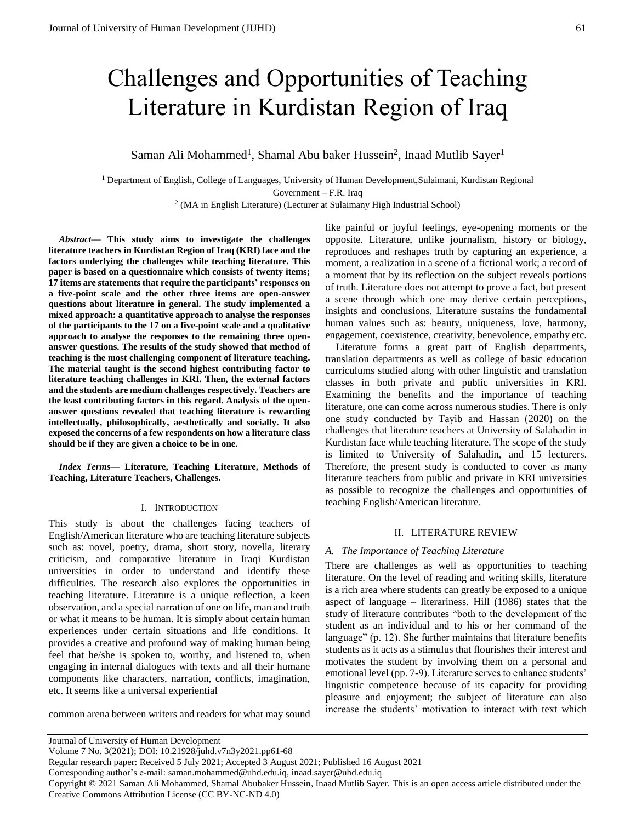# Challenges and Opportunities of Teaching Literature in Kurdistan Region of Iraq

Saman Ali Mohammed<sup>1</sup>, Shamal Abu baker Hussein<sup>2</sup>, Inaad Mutlib Sayer<sup>1</sup>

<sup>1</sup> Department of English, College of Languages, University of Human Development,Sulaimani, Kurdistan Regional Government – F.R. Iraq

<sup>2</sup> (MA in English Literature) (Lecturer at Sulaimany High Industrial School)

*Abstract***— This study aims to investigate the challenges literature teachers in Kurdistan Region of Iraq (KRI) face and the factors underlying the challenges while teaching literature. This paper is based on a questionnaire which consists of twenty items; 17 items are statements that require the participants' responses on a five-point scale and the other three items are open-answer questions about literature in general. The study implemented a mixed approach: a quantitative approach to analyse the responses of the participants to the 17 on a five-point scale and a qualitative approach to analyse the responses to the remaining three openanswer questions. The results of the study showed that method of teaching is the most challenging component of literature teaching. The material taught is the second highest contributing factor to literature teaching challenges in KRI. Then, the external factors and the students are medium challenges respectively. Teachers are the least contributing factors in this regard. Analysis of the openanswer questions revealed that teaching literature is rewarding intellectually, philosophically, aesthetically and socially. It also exposed the concerns of a few respondents on how a literature class should be if they are given a choice to be in one.**

*Index Terms***— Literature, Teaching Literature, Methods of Teaching, Literature Teachers, Challenges.** 

## I. INTRODUCTION

This study is about the challenges facing teachers of English/American literature who are teaching literature subjects such as: novel, poetry, drama, short story, novella, literary criticism, and comparative literature in Iraqi Kurdistan universities in order to understand and identify these difficulties. The research also explores the opportunities in teaching literature. Literature is a unique reflection, a keen observation, and a special narration of one on life, man and truth or what it means to be human. It is simply about certain human experiences under certain situations and life conditions. It provides a creative and profound way of making human being feel that he/she is spoken to, worthy, and listened to, when engaging in internal dialogues with texts and all their humane components like characters, narration, conflicts, imagination, etc. It seems like a universal experiential

common arena between writers and readers for what may sound

Literature forms a great part of English departments, translation departments as well as college of basic education curriculums studied along with other linguistic and translation classes in both private and public universities in KRI. Examining the benefits and the importance of teaching literature, one can come across numerous studies. There is only one study conducted by Tayib and Hassan (2020) on the challenges that literature teachers at University of Salahadin in Kurdistan face while teaching literature. The scope of the study is limited to University of Salahadin, and 15 lecturers. Therefore, the present study is conducted to cover as many literature teachers from public and private in KRI universities as possible to recognize the challenges and opportunities of teaching English/American literature.

## II. LITERATURE REVIEW

#### *A. The Importance of Teaching Literature*

There are challenges as well as opportunities to teaching literature. On the level of reading and writing skills, literature is a rich area where students can greatly be exposed to a unique aspect of language – literariness. Hill (1986) states that the study of literature contributes "both to the development of the student as an individual and to his or her command of the language" (p. 12). She further maintains that literature benefits students as it acts as a stimulus that flourishes their interest and motivates the student by involving them on a personal and emotional level (pp. 7-9). Literature serves to enhance students' linguistic competence because of its capacity for providing pleasure and enjoyment; the subject of literature can also increase the students' motivation to interact with text which

Copyright © 2021 Saman Ali Mohammed, Shamal Abubaker Hussein, Inaad Mutlib Sayer. This is an open access article distributed under the Creative Commons Attribution License (CC BY-NC-ND 4.0)

like painful or joyful feelings, eye-opening moments or the opposite. Literature, unlike journalism, history or biology, reproduces and reshapes truth by capturing an experience, a moment, a realization in a scene of a fictional work; a record of a moment that by its reflection on the subject reveals portions of truth. Literature does not attempt to prove a fact, but present a scene through which one may derive certain perceptions, insights and conclusions. Literature sustains the fundamental human values such as: beauty, uniqueness, love, harmony, engagement, coexistence, creativity, benevolence, empathy etc.

Journal of University of Human Development

Volume 7 No. 3(2021); DOI: 10.21928/juhd.v7n3y2021.pp61-68

Regular research paper: Received 5 July 2021; Accepted 3 August 2021; Published 16 August 2021

Corresponding author's e-mail: saman.mohammed@uhd.edu.iq, inaad.sayer@uhd.edu.iq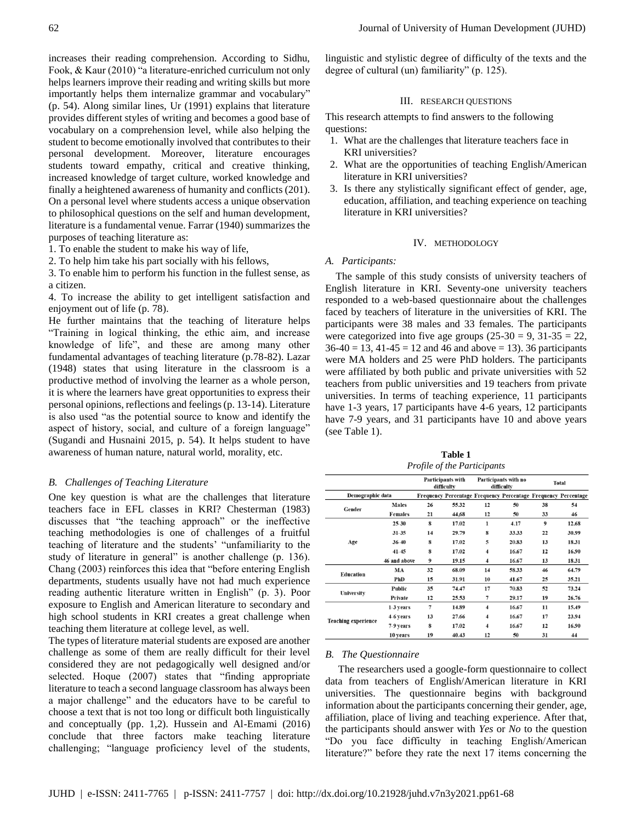increases their reading comprehension. According to Sidhu, Fook, & Kaur (2010) "a literature-enriched curriculum not only helps learners improve their reading and writing skills but more importantly helps them internalize grammar and vocabulary" (p. 54). Along similar lines, Ur (1991) explains that literature provides different styles of writing and becomes a good base of vocabulary on a comprehension level, while also helping the student to become emotionally involved that contributes to their personal development. Moreover, literature encourages students toward empathy, critical and creative thinking, increased knowledge of target culture, worked knowledge and finally a heightened awareness of humanity and conflicts (201). On a personal level where students access a unique observation to philosophical questions on the self and human development, literature is a fundamental venue. Farrar (1940) summarizes the purposes of teaching literature as:

1. To enable the student to make his way of life,

2. To help him take his part socially with his fellows,

3. To enable him to perform his function in the fullest sense, as a citizen.

4. To increase the ability to get intelligent satisfaction and enjoyment out of life (p. 78).

He further maintains that the teaching of literature helps "Training in logical thinking, the ethic aim, and increase knowledge of life", and these are among many other fundamental advantages of teaching literature (p.78-82). Lazar (1948) states that using literature in the classroom is a productive method of involving the learner as a whole person, it is where the learners have great opportunities to express their personal opinions, reflections and feelings (p. 13-14). Literature is also used "as the potential source to know and identify the aspect of history, social, and culture of a foreign language" (Sugandi and Husnaini 2015, p. 54). It helps student to have awareness of human nature, natural world, morality, etc.

#### *B. Challenges of Teaching Literature*

One key question is what are the challenges that literature teachers face in EFL classes in KRI? Chesterman (1983) discusses that "the teaching approach" or the ineffective teaching methodologies is one of challenges of a fruitful teaching of literature and the students' "unfamiliarity to the study of literature in general" is another challenge (p. 136). Chang (2003) reinforces this idea that "before entering English departments, students usually have not had much experience reading authentic literature written in English" (p. 3). Poor exposure to English and American literature to secondary and high school students in KRI creates a great challenge when teaching them literature at college level, as well.

The types of literature material students are exposed are another challenge as some of them are really difficult for their level considered they are not pedagogically well designed and/or selected. Hoque (2007) states that "finding appropriate literature to teach a second language classroom has always been a major challenge" and the educators have to be careful to choose a text that is not too long or difficult both linguistically and conceptually (pp. 1,2). Hussein and Al-Emami (2016) conclude that three factors make teaching literature challenging; "language proficiency level of the students,

linguistic and stylistic degree of difficulty of the texts and the degree of cultural (un) familiarity" (p. 125).

## III. RESEARCH QUESTIONS

This research attempts to find answers to the following questions:

- 1. What are the challenges that literature teachers face in KRI universities?
- 2. What are the opportunities of teaching English/American literature in KRI universities?
- 3. Is there any stylistically significant effect of gender, age, education, affiliation, and teaching experience on teaching literature in KRI universities?

#### IV. METHODOLOGY

#### *A. Participants:*

The sample of this study consists of university teachers of English literature in KRI. Seventy-one university teachers responded to a web-based questionnaire about the challenges faced by teachers of literature in the universities of KRI. The participants were 38 males and 33 females. The participants were categorized into five age groups  $(25-30 = 9, 31-35 = 22,$  $36-40 = 13$ ,  $41-45 = 12$  and  $46$  and above = 13). 36 participants were MA holders and 25 were PhD holders. The participants were affiliated by both public and private universities with 52 teachers from public universities and 19 teachers from private universities. In terms of teaching experience, 11 participants have 1-3 years, 17 participants have 4-6 years, 12 participants have 7-9 years, and 31 participants have 10 and above years (see Table 1).

**Table 1** *Profile of the Participants*

|                            |                | <b>Participants with</b><br>difficulty |       |                         | Participants with no<br>difficulty                             | Total            |                      |  |
|----------------------------|----------------|----------------------------------------|-------|-------------------------|----------------------------------------------------------------|------------------|----------------------|--|
| Demographic data           |                |                                        |       |                         | Frequency Percentage Frequency Percentage Frequency Percentage |                  |                      |  |
| Gender                     | <b>Males</b>   | 26                                     | 55.32 | 12                      | 50                                                             | 38               | 54                   |  |
|                            | <b>Females</b> | 21                                     | 44,68 | 12                      | 50                                                             | 33               | 46                   |  |
|                            | 25-30          | 8                                      | 17.02 | 1                       | 4.17                                                           | $\boldsymbol{9}$ | 12.68                |  |
|                            | $31 - 35$      | 14                                     | 29.79 | 8                       | 33.33                                                          | 22               | 30.99                |  |
| Age                        | 36-40          | 8                                      | 17.02 | 5                       | 20.83                                                          | 13               | 18.31                |  |
|                            | $41 - 45$      | 8                                      | 17.02 | $\overline{\mathbf{4}}$ | 16.67                                                          | 12               | 16.90                |  |
|                            | 46 and above   | 9                                      | 19.15 | 4                       | 16.67                                                          | 13               | 18.31<br>64.79<br>46 |  |
|                            | MA             | 32                                     | 68.09 | 14                      | 58.33                                                          |                  |                      |  |
| Education                  | PhD            | 15                                     | 31.91 | 10                      | 41.67                                                          | 25               | 35.21                |  |
|                            | Public         | 35                                     | 74.47 | 17                      | 70.83                                                          | 52               | 73.24                |  |
| University                 | Private        | 12                                     | 25.53 | 7                       | 29.17                                                          | 19               | 26.76                |  |
|                            | 1-3 years      | $\overline{7}$                         | 14.89 | 4                       | 16.67                                                          | 11               | 15.49                |  |
|                            | 4-6 years      | 13                                     | 27.66 | $\overline{\mathbf{4}}$ | 16.67                                                          | 17               | 23.94                |  |
| <b>Teaching experience</b> | 7-9 years      | 8                                      | 17.02 | 4                       | 16.67                                                          | 12               | 16.90                |  |
|                            | 10 years       | 19                                     | 40.43 | 12                      | 50                                                             | 31               | 44                   |  |

#### *B. The Questionnaire*

 The researchers used a google-form questionnaire to collect data from teachers of English/American literature in KRI universities. The questionnaire begins with background information about the participants concerning their gender, age, affiliation, place of living and teaching experience. After that, the participants should answer with *Yes* or *No* to the question "Do you face difficulty in teaching English/American literature?" before they rate the next 17 items concerning the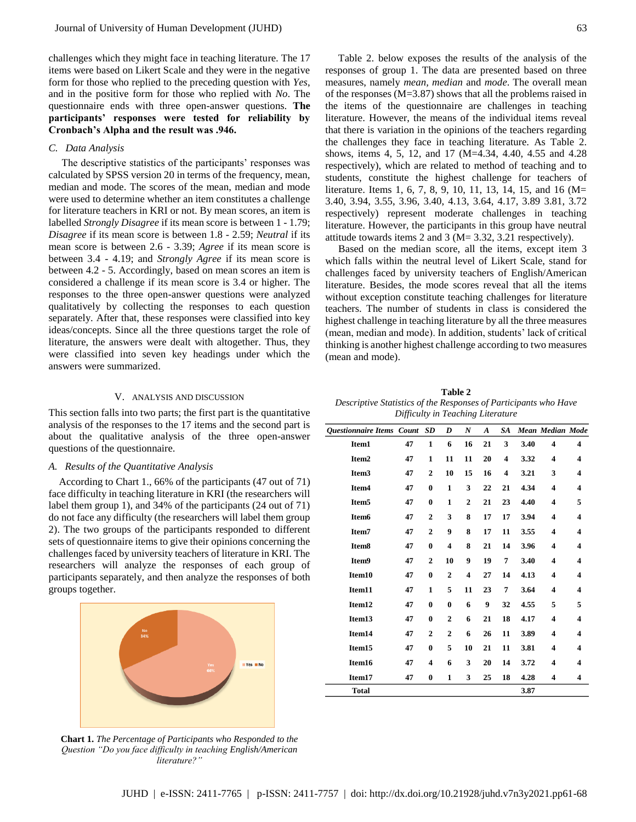challenges which they might face in teaching literature. The 17 items were based on Likert Scale and they were in the negative form for those who replied to the preceding question with *Yes*, and in the positive form for those who replied with *No*. The questionnaire ends with three open-answer questions. **The participants' responses were tested for reliability by Cronbach's Alpha and the result was .946.**

## *C. Data Analysis*

 The descriptive statistics of the participants' responses was calculated by SPSS version 20 in terms of the frequency, mean, median and mode. The scores of the mean, median and mode were used to determine whether an item constitutes a challenge for literature teachers in KRI or not. By mean scores, an item is labelled *Strongly Disagree* if its mean score is between 1 - 1.79; *Disagree* if its mean score is between 1.8 - 2.59; *Neutral* if its mean score is between 2.6 - 3.39; *Agree* if its mean score is between 3.4 - 4.19; and *Strongly Agree* if its mean score is between 4.2 - 5. Accordingly, based on mean scores an item is considered a challenge if its mean score is 3.4 or higher. The responses to the three open-answer questions were analyzed qualitatively by collecting the responses to each question separately. After that, these responses were classified into key ideas/concepts. Since all the three questions target the role of literature, the answers were dealt with altogether. Thus, they were classified into seven key headings under which the answers were summarized.

#### V. ANALYSIS AND DISCUSSION

This section falls into two parts; the first part is the quantitative analysis of the responses to the 17 items and the second part is about the qualitative analysis of the three open-answer questions of the questionnaire.

#### *A. Results of the Quantitative Analysis*

According to Chart 1., 66% of the participants (47 out of 71) face difficulty in teaching literature in KRI (the researchers will label them group 1), and 34% of the participants (24 out of 71) do not face any difficulty (the researchers will label them group 2). The two groups of the participants responded to different sets of questionnaire items to give their opinions concerning the challenges faced by university teachers of literature in KRI. The researchers will analyze the responses of each group of participants separately, and then analyze the responses of both groups together.



**Chart 1.** *The Percentage of Participants who Responded to the Question "Do you face difficulty in teaching English/American literature?"*

 Table 2. below exposes the results of the analysis of the responses of group 1. The data are presented based on three measures, namely *mean, median* and *mode*. The overall mean of the responses (M=3.87) shows that all the problems raised in the items of the questionnaire are challenges in teaching literature. However, the means of the individual items reveal that there is variation in the opinions of the teachers regarding the challenges they face in teaching literature. As Table 2. shows, items 4, 5, 12, and 17 (M=4.34, 4.40, 4.55 and 4.28 respectively), which are related to method of teaching and to students, constitute the highest challenge for teachers of literature. Items 1, 6, 7, 8, 9, 10, 11, 13, 14, 15, and 16 (M= 3.40, 3.94, 3.55, 3.96, 3.40, 4.13, 3.64, 4.17, 3.89 3.81, 3.72 respectively) represent moderate challenges in teaching literature. However, the participants in this group have neutral attitude towards items 2 and 3 (M= 3.32, 3.21 respectively).

 Based on the median score, all the items, except item 3 which falls within the neutral level of Likert Scale, stand for challenges faced by university teachers of English/American literature. Besides, the mode scores reveal that all the items without exception constitute teaching challenges for literature teachers. The number of students in class is considered the highest challenge in teaching literature by all the three measures (mean, median and mode). In addition, students' lack of critical thinking is another highest challenge according to two measures (mean and mode).

**Table 2** *Descriptive Statistics of the Responses of Participants who Have Difficulty in Teaching Literature*

| <b>Ouestionnaire Items Count</b> |    | <b>SD</b>               | D              | $\boldsymbol{N}$ | A  | SA |      | Mean Median Mode        |   |
|----------------------------------|----|-------------------------|----------------|------------------|----|----|------|-------------------------|---|
| Item1                            | 47 | 1                       | 6              | 16               | 21 | 3  | 3.40 | $\overline{\bf{4}}$     | 4 |
| Item <sub>2</sub>                | 47 | 1                       | 11             | 11               | 20 | 4  | 3.32 | $\overline{\bf{4}}$     | 4 |
| Item <sub>3</sub>                | 47 | $\overline{2}$          | 10             | 15               | 16 | 4  | 3.21 | 3                       | 4 |
| Item <sub>4</sub>                | 47 | $\bf{0}$                | 1              | 3                | 22 | 21 | 4.34 | $\overline{\mathbf{4}}$ | 4 |
| Item <sub>5</sub>                | 47 | $\bf{0}$                | 1              | $\overline{2}$   | 21 | 23 | 4.40 | $\overline{\bf{4}}$     | 5 |
| Item <sub>6</sub>                | 47 | $\overline{2}$          | 3              | 8                | 17 | 17 | 3.94 | 4                       | 4 |
| Item7                            | 47 | $\overline{2}$          | 9              | 8                | 17 | 11 | 3.55 | 4                       | 4 |
| Item <sub>8</sub>                | 47 | $\bf{0}$                | 4              | 8                | 21 | 14 | 3.96 | 4                       | 4 |
| Item9                            | 47 | $\overline{2}$          | 10             | 9                | 19 | 7  | 3.40 | $\overline{\bf{4}}$     | 4 |
| Item10                           | 47 | $\bf{0}$                | $\overline{2}$ | 4                | 27 | 14 | 4.13 | 4                       | 4 |
| Item11                           | 47 | 1                       | 5              | 11               | 23 | 7  | 3.64 | $\overline{\bf{4}}$     | 4 |
| Item12                           | 47 | $\bf{0}$                | $\bf{0}$       | 6                | 9  | 32 | 4.55 | 5                       | 5 |
| Item13                           | 47 | $\bf{0}$                | $\overline{2}$ | 6                | 21 | 18 | 4.17 | 4                       | 4 |
| Item14                           | 47 | $\overline{2}$          | $\overline{2}$ | 6                | 26 | 11 | 3.89 | 4                       | 4 |
| Item15                           | 47 | $\bf{0}$                | 5              | 10               | 21 | 11 | 3.81 | $\overline{\bf{4}}$     | 4 |
| Item16                           | 47 | $\overline{\mathbf{4}}$ | 6              | 3                | 20 | 14 | 3.72 | $\overline{\mathbf{4}}$ | 4 |
| Item17                           | 47 | $\bf{0}$                | 1              | 3                | 25 | 18 | 4.28 | 4                       | 4 |
| <b>Total</b>                     |    |                         |                |                  |    |    | 3.87 |                         |   |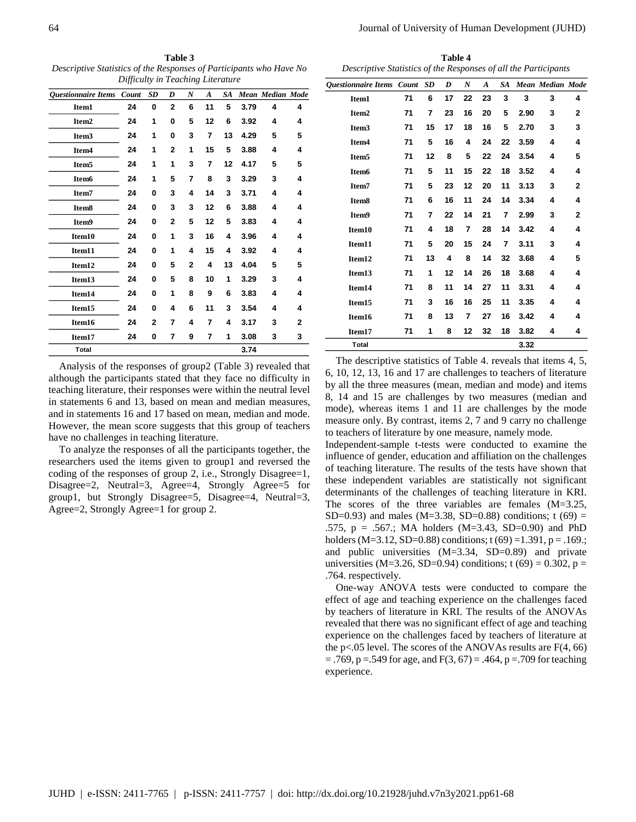**Table 3** *Descriptive Statistics of the Responses of Participants who Have No Difficulty in Teaching Literature*

| <b>Questionnaire Items</b> | Count | <b>SD</b>               | D              | N              | $\boldsymbol{A}$ | SA |      | Mean Median Mode |              |
|----------------------------|-------|-------------------------|----------------|----------------|------------------|----|------|------------------|--------------|
| Item1                      | 24    | 0                       | $\overline{2}$ | 6              | 11               | 5  | 3.79 | 4                | 4            |
| Item <sub>2</sub>          | 24    | 1                       | 0              | 5              | 12               | 6  | 3.92 | 4                | 4            |
| Item <sub>3</sub>          | 24    | 1                       | 0              | 3              | 7                | 13 | 4.29 | 5                | 5            |
| Item <sub>4</sub>          | 24    | 1                       | $\overline{2}$ | 1              | 15               | 5  | 3.88 | 4                | 4            |
| Item <sub>5</sub>          | 24    | 1                       | 1              | 3              | 7                | 12 | 4.17 | 5                | 5            |
| Item <sub>6</sub>          | 24    | 1                       | 5              | 7              | 8                | 3  | 3.29 | 3                | 4            |
| Item7                      | 24    | $\bf{0}$                | 3              | 4              | 14               | 3  | 3.71 | 4                | 4            |
| Item <sub>8</sub>          | 24    | $\bf{0}$                | 3              | 3              | 12               | 6  | 3.88 | 4                | 4            |
| Item9                      | 24    | 0                       | $\mathbf{2}$   | 5              | 12               | 5  | 3.83 | 4                | 4            |
| Item10                     | 24    | $\bf{0}$                | 1              | 3              | 16               | 4  | 3.96 | 4                | 4            |
| Item11                     | 24    | $\bf{0}$                | 1              | 4              | 15               | 4  | 3.92 | 4                | 4            |
| Item12                     | 24    | 0                       | 5              | $\overline{2}$ | 4                | 13 | 4.04 | 5                | 5            |
| Item13                     | 24    | $\bf{0}$                | 5              | 8              | 10               | 1  | 3.29 | 3                | 4            |
| Item14                     | 24    | $\bf{0}$                | 1              | 8              | 9                | 6  | 3.83 | 4                | 4            |
| Item15                     | 24    | $\bf{0}$                | 4              | 6              | 11               | 3  | 3.54 | 4                | 4            |
| Item16                     | 24    | $\overline{\mathbf{2}}$ | 7              | 4              | 7                | 4  | 3.17 | 3                | $\mathbf{2}$ |
| Item17                     | 24    | 0                       | 7              | 9              | 7                | 1  | 3.08 | 3                | 3            |
| Total                      |       |                         |                |                |                  |    | 3.74 |                  |              |

Analysis of the responses of group2 (Table 3) revealed that although the participants stated that they face no difficulty in teaching literature, their responses were within the neutral level in statements 6 and 13, based on mean and median measures, and in statements 16 and 17 based on mean, median and mode. However, the mean score suggests that this group of teachers have no challenges in teaching literature.

To analyze the responses of all the participants together, the researchers used the items given to group1 and reversed the coding of the responses of group 2, i.e., Strongly Disagree=1, Disagree=2, Neutral=3, Agree=4, Strongly Agree=5 for group1, but Strongly Disagree=5, Disagree=4, Neutral=3, Agree=2, Strongly Agree=1 for group 2.

**Table 4** *Descriptive Statistics of the Responses of all the Participants*

| Descriptive blansnes of the responses of an inc 1 armeipanus |    |    |    |                  |                  |    |      |                            |              |
|--------------------------------------------------------------|----|----|----|------------------|------------------|----|------|----------------------------|--------------|
| Questionnaire Items Count SD                                 |    |    | D  | $\boldsymbol{N}$ | $\boldsymbol{A}$ |    |      | <b>SA</b> Mean Median Mode |              |
| Item1                                                        | 71 | 6  | 17 | 22               | 23               | 3  | 3    | 3                          | 4            |
| Item <sub>2</sub>                                            | 71 | 7  | 23 | 16               | 20               | 5  | 2.90 | 3                          | 2            |
| Item <sub>3</sub>                                            | 71 | 15 | 17 | 18               | 16               | 5  | 2.70 | 3                          | 3            |
| Item <sub>4</sub>                                            | 71 | 5  | 16 | 4                | 24               | 22 | 3.59 | 4                          | 4            |
| Item <sub>5</sub>                                            | 71 | 12 | 8  | 5                | 22               | 24 | 3.54 | 4                          | 5            |
| Item <sub>6</sub>                                            | 71 | 5  | 11 | 15               | 22               | 18 | 3.52 | 4                          | 4            |
| Item7                                                        | 71 | 5  | 23 | 12               | 20               | 11 | 3.13 | 3                          | $\mathbf{2}$ |
| Item <sub>8</sub>                                            | 71 | 6  | 16 | 11               | 24               | 14 | 3.34 | 4                          | 4            |
| Item9                                                        | 71 | 7  | 22 | 14               | 21               | 7  | 2.99 | 3                          | 2            |
| Item10                                                       | 71 | 4  | 18 | 7                | 28               | 14 | 3.42 | 4                          | 4            |
| Item11                                                       | 71 | 5  | 20 | 15               | 24               | 7  | 3.11 | 3                          | 4            |
| Item12                                                       | 71 | 13 | 4  | 8                | 14               | 32 | 3.68 | 4                          | 5            |
| Item13                                                       | 71 | 1  | 12 | 14               | 26               | 18 | 3.68 | 4                          | 4            |
| Item14                                                       | 71 | 8  | 11 | 14               | 27               | 11 | 3.31 | 4                          | 4            |
| Item15                                                       | 71 | 3  | 16 | 16               | 25               | 11 | 3.35 | 4                          | 4            |
| Item16                                                       | 71 | 8  | 13 | 7                | 27               | 16 | 3.42 | 4                          | 4            |
| Item17                                                       | 71 | 1  | 8  | 12               | 32               | 18 | 3.82 | 4                          | 4            |
| <b>Total</b>                                                 |    |    |    |                  |                  |    | 3.32 |                            |              |

The descriptive statistics of Table 4. reveals that items 4, 5, 6, 10, 12, 13, 16 and 17 are challenges to teachers of literature by all the three measures (mean, median and mode) and items 8, 14 and 15 are challenges by two measures (median and mode), whereas items 1 and 11 are challenges by the mode measure only. By contrast, items 2, 7 and 9 carry no challenge to teachers of literature by one measure, namely mode.

Independent-sample t-tests were conducted to examine the influence of gender, education and affiliation on the challenges of teaching literature. The results of the tests have shown that these independent variables are statistically not significant determinants of the challenges of teaching literature in KRI. The scores of the three variables are females  $(M=3.25,$ SD=0.93) and males (M=3.38, SD=0.88) conditions; t (69) = .575, p = .567.; MA holders (M=3.43, SD=0.90) and PhD holders (M=3.12, SD=0.88) conditions; t (69) =1.391, p = .169.; and public universities (M=3.34, SD=0.89) and private universities (M=3.26, SD=0.94) conditions; t (69) = 0.302, p = .764. respectively.

One-way ANOVA tests were conducted to compare the effect of age and teaching experience on the challenges faced by teachers of literature in KRI. The results of the ANOVAs revealed that there was no significant effect of age and teaching experience on the challenges faced by teachers of literature at the p<.05 level. The scores of the ANOVAs results are  $F(4, 66)$  $= .769$ , p  $= .549$  for age, and  $F(3, 67) = .464$ , p  $= .709$  for teaching experience.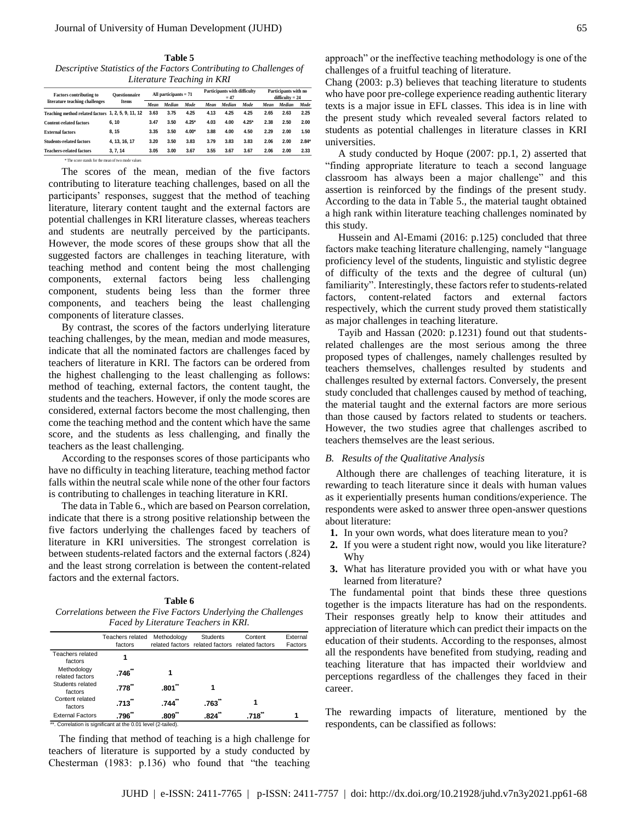**Table 5** *Descriptive Statistics of the Factors Contributing to Challenges of Literature Teaching in KRI*

| <b>Factors contributing to</b>                                 | <b>Ouestionnaire</b><br>Items | All participants $= 71$ |        |         | Participants with difficulty |        |         | Participants with no |                   |             |
|----------------------------------------------------------------|-------------------------------|-------------------------|--------|---------|------------------------------|--------|---------|----------------------|-------------------|-------------|
| literature teaching challenges                                 |                               |                         |        |         |                              | $= 47$ |         |                      | $difficultv = 24$ |             |
|                                                                |                               | Mean                    | Median | Mode    | Mean                         | Median | Mode    | Mean                 | Median            | <b>Mode</b> |
| Teaching method related factors 1, 2, 5, 9, 11, 12             |                               | 3.63                    | 3.75   | 4.25    | 4.13                         | 4.25   | 4.25    | 2.65                 | 2.63              | 2.25        |
| <b>Content-related factors</b>                                 | 6.10                          | 3.47                    | 3.50   | $4.25*$ | 4.03                         | 4.00   | $4.25*$ | 2.38                 | 2.50              | 2.00        |
| <b>External factors</b>                                        | 8.15                          | 3.35                    | 3.50   | $4.00*$ | 3.88                         | 4.00   | 4.50    | 2.29                 | 2.00              | 1.50        |
| <b>Students-related factors</b>                                | 4.13.16.17                    | 3.20                    | 3.50   | 3.83    | 3.79                         | 3.83   | 3.83    | 2.06                 | 2.00              | $2.84*$     |
| <b>Teachers-related factors</b>                                | 3.7.14                        | 3.05                    | 3.00   | 3.67    | 3.55                         | 3.67   | 3.67    | 2.06                 | 2.00              | 2.33        |
| <sup>*</sup> The score stands for the mean of two mode values. |                               |                         |        |         |                              |        |         |                      |                   |             |

 The scores of the mean, median of the five factors contributing to literature teaching challenges, based on all the participants' responses, suggest that the method of teaching literature, literary content taught and the external factors are potential challenges in KRI literature classes, whereas teachers and students are neutrally perceived by the participants. However, the mode scores of these groups show that all the suggested factors are challenges in teaching literature, with teaching method and content being the most challenging components, external factors being less challenging component, students being less than the former three components, and teachers being the least challenging components of literature classes.

 By contrast, the scores of the factors underlying literature teaching challenges, by the mean, median and mode measures, indicate that all the nominated factors are challenges faced by teachers of literature in KRI. The factors can be ordered from the highest challenging to the least challenging as follows: method of teaching, external factors, the content taught, the students and the teachers. However, if only the mode scores are considered, external factors become the most challenging, then come the teaching method and the content which have the same score, and the students as less challenging, and finally the teachers as the least challenging.

 According to the responses scores of those participants who have no difficulty in teaching literature, teaching method factor falls within the neutral scale while none of the other four factors is contributing to challenges in teaching literature in KRI.

 The data in Table 6., which are based on Pearson correlation, indicate that there is a strong positive relationship between the five factors underlying the challenges faced by teachers of literature in KRI universities. The strongest correlation is between students-related factors and the external factors (.824) and the least strong correlation is between the content-related factors and the external factors.

**Table 6** *Correlations between the Five Factors Underlying the Challenges Faced by Literature Teachers in KRI.*

|                                                              | Teachers related<br>factors | Methodology | <b>Students</b><br>related factors related factors related factors | Content | External<br>Factors |
|--------------------------------------------------------------|-----------------------------|-------------|--------------------------------------------------------------------|---------|---------------------|
| Teachers related<br>factors                                  |                             |             |                                                                    |         |                     |
| Methodology<br>related factors                               | .746                        |             |                                                                    |         |                     |
| Students related<br>factors                                  | .778                        | .801        |                                                                    |         |                     |
| Content related<br>factors                                   | .713                        | .744        | .763                                                               |         |                     |
| <b>External Factors</b>                                      | .796**                      | .809        | .824                                                               | .718    |                     |
| **. Correlation is significant at the 0.01 level (2-tailed). |                             |             |                                                                    |         |                     |

The finding that method of teaching is a high challenge for teachers of literature is supported by a study conducted by Chesterman (1983: p.136) who found that "the teaching

approach" or the ineffective teaching methodology is one of the challenges of a fruitful teaching of literature.

Chang (2003: p.3) believes that teaching literature to students who have poor pre-college experience reading authentic literary texts is a major issue in EFL classes. This idea is in line with the present study which revealed several factors related to students as potential challenges in literature classes in KRI universities.

 A study conducted by Hoque (2007: pp.1, 2) asserted that "finding appropriate literature to teach a second language classroom has always been a major challenge" and this assertion is reinforced by the findings of the present study. According to the data in Table 5., the material taught obtained a high rank within literature teaching challenges nominated by this study.

 Hussein and Al-Emami (2016: p.125) concluded that three factors make teaching literature challenging, namely "language proficiency level of the students, linguistic and stylistic degree of difficulty of the texts and the degree of cultural (un) familiarity". Interestingly, these factors refer to students-related factors, content-related factors and external factors respectively, which the current study proved them statistically as major challenges in teaching literature.

 Tayib and Hassan (2020: p.1231) found out that studentsrelated challenges are the most serious among the three proposed types of challenges, namely challenges resulted by teachers themselves, challenges resulted by students and challenges resulted by external factors. Conversely, the present study concluded that challenges caused by method of teaching, the material taught and the external factors are more serious than those caused by factors related to students or teachers. However, the two studies agree that challenges ascribed to teachers themselves are the least serious.

#### *B. Results of the Qualitative Analysis*

Although there are challenges of teaching literature, it is rewarding to teach literature since it deals with human values as it experientially presents human conditions/experience. The respondents were asked to answer three open-answer questions about literature:

- **1.** In your own words, what does literature mean to you?
- **2.** If you were a student right now, would you like literature? Why
- **3.** What has literature provided you with or what have you learned from literature?

The fundamental point that binds these three questions together is the impacts literature has had on the respondents. Their responses greatly help to know their attitudes and appreciation of literature which can predict their impacts on the education of their students. According to the responses, almost all the respondents have benefited from studying, reading and teaching literature that has impacted their worldview and perceptions regardless of the challenges they faced in their career.

The rewarding impacts of literature, mentioned by the respondents, can be classified as follows: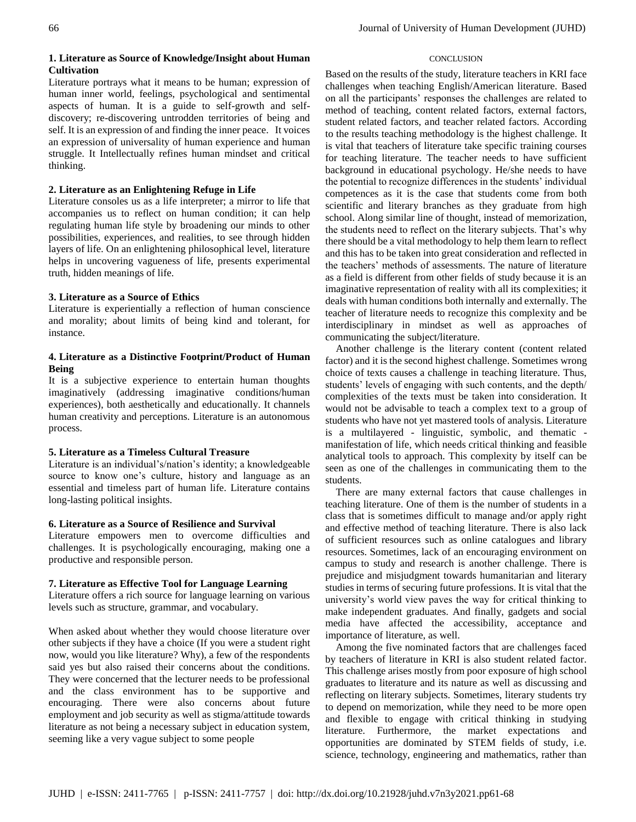## **1. Literature as Source of Knowledge/Insight about Human Cultivation**

Literature portrays what it means to be human; expression of human inner world, feelings, psychological and sentimental aspects of human. It is a guide to self-growth and selfdiscovery; re-discovering untrodden territories of being and self. It is an expression of and finding the inner peace. It voices an expression of universality of human experience and human struggle. It Intellectually refines human mindset and critical thinking.

## **2. Literature as an Enlightening Refuge in Life**

Literature consoles us as a life interpreter; a mirror to life that accompanies us to reflect on human condition; it can help regulating human life style by broadening our minds to other possibilities, experiences, and realities, to see through hidden layers of life. On an enlightening philosophical level, literature helps in uncovering vagueness of life, presents experimental truth, hidden meanings of life.

# **3. Literature as a Source of Ethics**

Literature is experientially a reflection of human conscience and morality; about limits of being kind and tolerant, for instance.

## **4. Literature as a Distinctive Footprint/Product of Human Being**

It is a subjective experience to entertain human thoughts imaginatively (addressing imaginative conditions/human experiences), both aesthetically and educationally. It channels human creativity and perceptions. Literature is an autonomous process.

# **5. Literature as a Timeless Cultural Treasure**

Literature is an individual's/nation's identity; a knowledgeable source to know one's culture, history and language as an essential and timeless part of human life. Literature contains long-lasting political insights.

# **6. Literature as a Source of Resilience and Survival**

Literature empowers men to overcome difficulties and challenges. It is psychologically encouraging, making one a productive and responsible person.

# **7. Literature as Effective Tool for Language Learning**

Literature offers a rich source for language learning on various levels such as structure, grammar, and vocabulary.

When asked about whether they would choose literature over other subjects if they have a choice (If you were a student right now, would you like literature? Why), a few of the respondents said yes but also raised their concerns about the conditions. They were concerned that the lecturer needs to be professional and the class environment has to be supportive and encouraging. There were also concerns about future employment and job security as well as stigma/attitude towards literature as not being a necessary subject in education system, seeming like a very vague subject to some people

# **CONCLUSION**

Based on the results of the study, literature teachers in KRI face challenges when teaching English/American literature. Based on all the participants' responses the challenges are related to method of teaching, content related factors, external factors, student related factors, and teacher related factors. According to the results teaching methodology is the highest challenge. It is vital that teachers of literature take specific training courses for teaching literature. The teacher needs to have sufficient background in educational psychology. He/she needs to have the potential to recognize differences in the students' individual competences as it is the case that students come from both scientific and literary branches as they graduate from high school. Along similar line of thought, instead of memorization, the students need to reflect on the literary subjects. That's why there should be a vital methodology to help them learn to reflect and this has to be taken into great consideration and reflected in the teachers' methods of assessments. The nature of literature as a field is different from other fields of study because it is an imaginative representation of reality with all its complexities; it deals with human conditions both internally and externally. The teacher of literature needs to recognize this complexity and be interdisciplinary in mindset as well as approaches of communicating the subject/literature.

Another challenge is the literary content (content related factor) and it is the second highest challenge. Sometimes wrong choice of texts causes a challenge in teaching literature. Thus, students' levels of engaging with such contents, and the depth/ complexities of the texts must be taken into consideration. It would not be advisable to teach a complex text to a group of students who have not yet mastered tools of analysis. Literature is a multilayered - linguistic, symbolic, and thematic manifestation of life, which needs critical thinking and feasible analytical tools to approach. This complexity by itself can be seen as one of the challenges in communicating them to the students.

There are many external factors that cause challenges in teaching literature. One of them is the number of students in a class that is sometimes difficult to manage and/or apply right and effective method of teaching literature. There is also lack of sufficient resources such as online catalogues and library resources. Sometimes, lack of an encouraging environment on campus to study and research is another challenge. There is prejudice and misjudgment towards humanitarian and literary studies in terms of securing future professions. It is vital that the university's world view paves the way for critical thinking to make independent graduates. And finally, gadgets and social media have affected the accessibility, acceptance and importance of literature, as well.

Among the five nominated factors that are challenges faced by teachers of literature in KRI is also student related factor. This challenge arises mostly from poor exposure of high school graduates to literature and its nature as well as discussing and reflecting on literary subjects. Sometimes, literary students try to depend on memorization, while they need to be more open and flexible to engage with critical thinking in studying literature. Furthermore, the market expectations and opportunities are dominated by STEM fields of study, i.e. science, technology, engineering and mathematics, rather than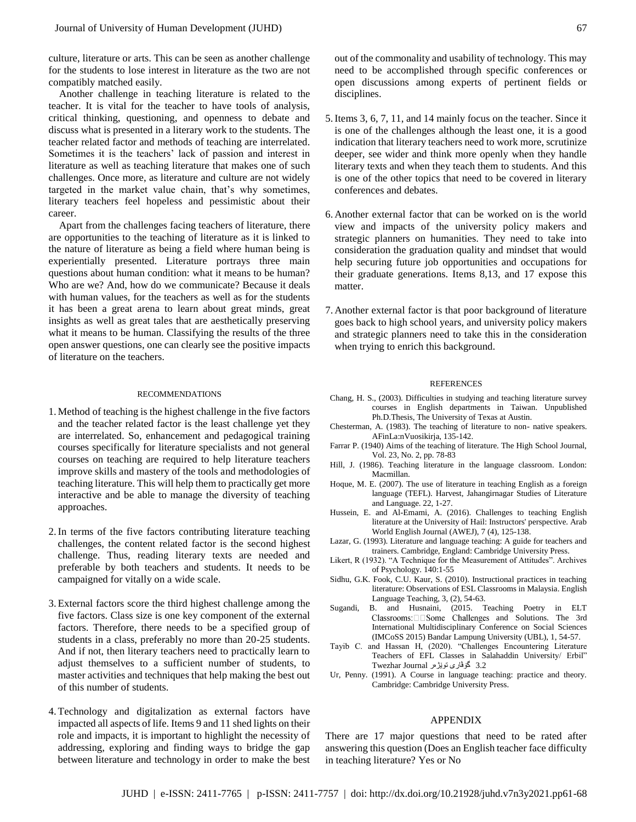culture, literature or arts. This can be seen as another challenge for the students to lose interest in literature as the two are not compatibly matched easily.

Another challenge in teaching literature is related to the teacher. It is vital for the teacher to have tools of analysis, critical thinking, questioning, and openness to debate and discuss what is presented in a literary work to the students. The teacher related factor and methods of teaching are interrelated. Sometimes it is the teachers' lack of passion and interest in literature as well as teaching literature that makes one of such challenges. Once more, as literature and culture are not widely targeted in the market value chain, that's why sometimes, literary teachers feel hopeless and pessimistic about their career.

Apart from the challenges facing teachers of literature, there are opportunities to the teaching of literature as it is linked to the nature of literature as being a field where human being is experientially presented. Literature portrays three main questions about human condition: what it means to be human? Who are we? And, how do we communicate? Because it deals with human values, for the teachers as well as for the students it has been a great arena to learn about great minds, great insights as well as great tales that are aesthetically preserving what it means to be human. Classifying the results of the three open answer questions, one can clearly see the positive impacts of literature on the teachers.

#### RECOMMENDATIONS

- 1.Method of teaching is the highest challenge in the five factors and the teacher related factor is the least challenge yet they are interrelated. So, enhancement and pedagogical training courses specifically for literature specialists and not general courses on teaching are required to help literature teachers improve skills and mastery of the tools and methodologies of teaching literature. This will help them to practically get more interactive and be able to manage the diversity of teaching approaches.
- 2.In terms of the five factors contributing literature teaching challenges, the content related factor is the second highest challenge. Thus, reading literary texts are needed and preferable by both teachers and students. It needs to be campaigned for vitally on a wide scale.
- 3.External factors score the third highest challenge among the five factors. Class size is one key component of the external factors. Therefore, there needs to be a specified group of students in a class, preferably no more than 20-25 students. And if not, then literary teachers need to practically learn to adjust themselves to a sufficient number of students, to master activities and techniques that help making the best out of this number of students.
- 4.Technology and digitalization as external factors have impacted all aspects of life. Items 9 and 11 shed lights on their role and impacts, it is important to highlight the necessity of addressing, exploring and finding ways to bridge the gap between literature and technology in order to make the best

out of the commonality and usability of technology. This may need to be accomplished through specific conferences or open discussions among experts of pertinent fields or disciplines.

- 5.Items 3, 6, 7, 11, and 14 mainly focus on the teacher. Since it is one of the challenges although the least one, it is a good indication that literary teachers need to work more, scrutinize deeper, see wider and think more openly when they handle literary texts and when they teach them to students. And this is one of the other topics that need to be covered in literary conferences and debates.
- 6. Another external factor that can be worked on is the world view and impacts of the university policy makers and strategic planners on humanities. They need to take into consideration the graduation quality and mindset that would help securing future job opportunities and occupations for their graduate generations. Items 8,13, and 17 expose this matter.
- 7. Another external factor is that poor background of literature goes back to high school years, and university policy makers and strategic planners need to take this in the consideration when trying to enrich this background.

#### REFERENCES

- Chang, H. S., (2003). Difficulties in studying and teaching literature survey courses in English departments in Taiwan. Unpublished Ph.D.Thesis, The University of Texas at Austin.
- Chesterman, A. (1983). The teaching of literature to non- native speakers. AFinLa:nVuosikirja, 135-142.
- Farrar P. (1940) Aims of the teaching of literature. The High School Journal, Vol. 23, No. 2, pp. 78-83
- Hill, J. (1986). Teaching literature in the language classroom. London: Macmillan.
- Hoque, M. E. (2007). The use of literature in teaching English as a foreign language (TEFL). Harvest, Jahangirnagar Studies of Literature and Language. 22, 1-27.
- Hussein, E. and Al-Emami, A. (2016). Challenges to teaching English literature at the University of Hail: Instructors' perspective. Arab World English Journal (AWEJ), 7 (4), 125-138.
- Lazar, G. (1993). Literature and language teaching: A guide for teachers and trainers. Cambridge, England: Cambridge University Press.
- Likert, R (1932). "A Technique for the Measurement of Attitudes". Archives of Psychology. 140:1-55
- Sidhu, G.K. Fook, C.U. Kaur, S. (2010). Instructional practices in teaching literature: Observations of ESL Classrooms in Malaysia. English Language Teaching, 3, (2), 54-63.
- Sugandi, B. and Husnaini, (2015. Teaching Poetry in ELT Classrooms: Some Challenges and Solutions. The 3rd International Multidisciplinary Conference on Social Sciences (IMCoSS 2015) Bandar Lampung University (UBL), 1, 54-57.
- Tayib C. and Hassan H, (2020). "Challenges Encountering Literature Teachers of EFL Classes in Salahaddin University/ Erbil" 3.2 گۆڤاری توێژەر Journal Twezhar
- Ur, Penny. (1991). A Course in language teaching: practice and theory. Cambridge: Cambridge University Press.

### APPENDIX

There are 17 major questions that need to be rated after answering this question (Does an English teacher face difficulty in teaching literature? Yes or No